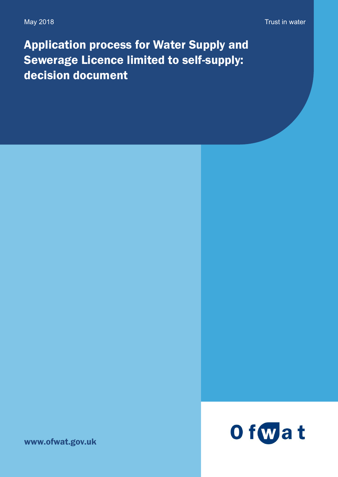Application process for Water Supply and Sewerage Licence limited to self-supply: decision document



www.ofwat.gov.uk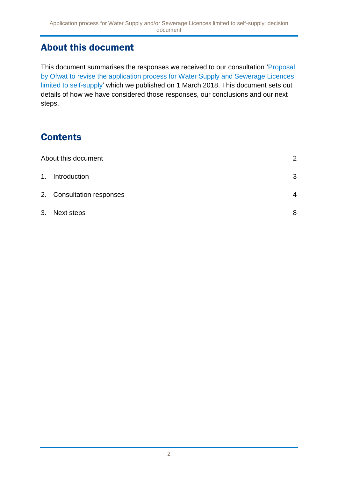### <span id="page-1-0"></span>About this document

This document summarises the responses we received to our consultation ['Proposal](https://www.ofwat.gov.uk/consultation/proposal-by-ofwat-to-revise-the-application-process-for-water-supply-and-sewerage-licences-limited-to-self-supply/)  [by Ofwat to revise the application process for Water Supply and Sewerage Licences](https://www.ofwat.gov.uk/consultation/proposal-by-ofwat-to-revise-the-application-process-for-water-supply-and-sewerage-licences-limited-to-self-supply/)  [limited to self-supply'](https://www.ofwat.gov.uk/consultation/proposal-by-ofwat-to-revise-the-application-process-for-water-supply-and-sewerage-licences-limited-to-self-supply/) which we published on 1 March 2018. This document sets out details of how we have considered those responses, our conclusions and our next steps.

# **Contents**

|    | About this document       |   |  |
|----|---------------------------|---|--|
|    | 1. Introduction           | 3 |  |
|    | 2. Consultation responses | 4 |  |
| 3. | Next steps                | 8 |  |
|    |                           |   |  |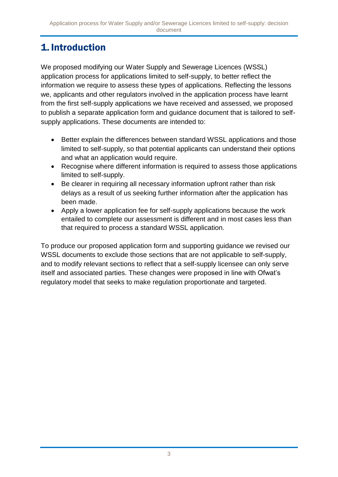## <span id="page-2-0"></span>1. Introduction

We proposed modifying our Water Supply and Sewerage Licences (WSSL) application process for applications limited to self-supply, to better reflect the information we require to assess these types of applications. Reflecting the lessons we, applicants and other regulators involved in the application process have learnt from the first self-supply applications we have received and assessed, we proposed to publish a separate application form and guidance document that is tailored to selfsupply applications. These documents are intended to:

- Better explain the differences between standard WSSL applications and those limited to self-supply, so that potential applicants can understand their options and what an application would require.
- Recognise where different information is required to assess those applications limited to self-supply.
- Be clearer in requiring all necessary information upfront rather than risk delays as a result of us seeking further information after the application has been made.
- Apply a lower application fee for self-supply applications because the work entailed to complete our assessment is different and in most cases less than that required to process a standard WSSL application.

To produce our proposed application form and supporting guidance we revised our WSSL documents to exclude those sections that are not applicable to self-supply, and to modify relevant sections to reflect that a self-supply licensee can only serve itself and associated parties. These changes were proposed in line with Ofwat's regulatory model that seeks to make regulation proportionate and targeted.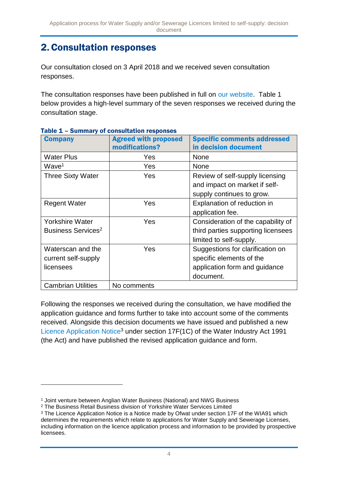### <span id="page-3-0"></span>2.Consultation responses

Our consultation closed on 3 April 2018 and we received seven consultation responses.

The consultation responses have been published in full on [our website.](https://www.ofwat.gov.uk/consultation/proposal-by-ofwat-to-revise-the-application-process-for-water-supply-and-sewerage-licences-limited-to-self-supply/#Responses) Table 1 below provides a high-level summary of the seven responses we received during the consultation stage.

| <b>Company</b>                 | <b>Agreed with proposed</b> | <b>Specific comments addressed</b> |
|--------------------------------|-----------------------------|------------------------------------|
|                                | modifications?              | in decision document               |
| <b>Water Plus</b>              | Yes                         | <b>None</b>                        |
| Wave <sup>1</sup>              | Yes                         | <b>None</b>                        |
| <b>Three Sixty Water</b>       | Yes                         | Review of self-supply licensing    |
|                                |                             | and impact on market if self-      |
|                                |                             | supply continues to grow.          |
| <b>Regent Water</b>            | Yes                         | Explanation of reduction in        |
|                                |                             | application fee.                   |
| <b>Yorkshire Water</b>         | Yes                         | Consideration of the capability of |
| Business Services <sup>2</sup> |                             | third parties supporting licensees |
|                                |                             | limited to self-supply.            |
| Waterscan and the              | Yes                         | Suggestions for clarification on   |
| current self-supply            |                             | specific elements of the           |
| licensees                      |                             | application form and guidance      |
|                                |                             | document.                          |
| <b>Cambrian Utilities</b>      | No comments                 |                                    |

|  | Table 1 - Summary of consultation responses |  |
|--|---------------------------------------------|--|

Following the responses we received during the consultation, we have modified the application guidance and forms further to take into account some of the comments received. Alongside this decision documents we have issued and published a new [Licence Application Notice](https://www.ofwat.gov.uk/publication/licence-application-notice/)<sup>3</sup> under section 17F(1C) of the Water Industry Act 1991 (the Act) and have published the revised application guidance and form.

1

<sup>1</sup> Joint venture between Anglian Water Business (National) and NWG Business

<sup>&</sup>lt;sup>2</sup> The Business Retail Business division of Yorkshire Water Services Limited

<sup>&</sup>lt;sup>3</sup> The Licence Application Notice is a Notice made by Ofwat under section 17F of the WIA91 which determines the requirements which relate to applications for Water Supply and Sewerage Licenses, including information on the licence application process and information to be provided by prospective licensees.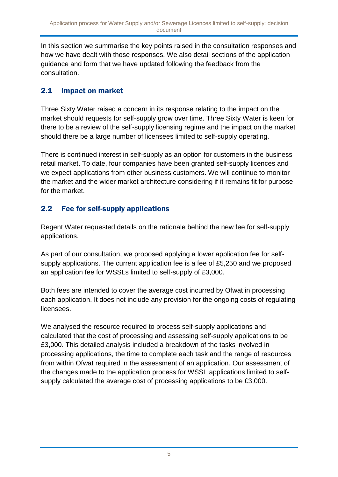In this section we summarise the key points raised in the consultation responses and how we have dealt with those responses. We also detail sections of the application guidance and form that we have updated following the feedback from the consultation.

#### 2.1 Impact on market

Three Sixty Water raised a concern in its response relating to the impact on the market should requests for self-supply grow over time. Three Sixty Water is keen for there to be a review of the self-supply licensing regime and the impact on the market should there be a large number of licensees limited to self-supply operating.

There is continued interest in self-supply as an option for customers in the business retail market. To date, four companies have been granted self-supply licences and we expect applications from other business customers. We will continue to monitor the market and the wider market architecture considering if it remains fit for purpose for the market.

### 2.2 Fee for self-supply applications

Regent Water requested details on the rationale behind the new fee for self-supply applications.

As part of our consultation, we proposed applying a lower application fee for selfsupply applications. The current application fee is a fee of £5,250 and we proposed an application fee for WSSLs limited to self-supply of £3,000.

Both fees are intended to cover the average cost incurred by Ofwat in processing each application. It does not include any provision for the ongoing costs of regulating licensees.

We analysed the resource required to process self-supply applications and calculated that the cost of processing and assessing self-supply applications to be £3,000. This detailed analysis included a breakdown of the tasks involved in processing applications, the time to complete each task and the range of resources from within Ofwat required in the assessment of an application. Our assessment of the changes made to the application process for WSSL applications limited to selfsupply calculated the average cost of processing applications to be £3,000.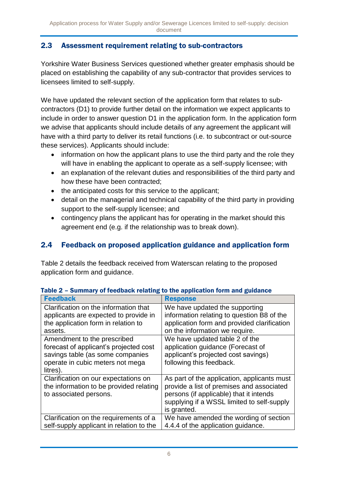#### 2.3 Assessment requirement relating to sub-contractors

Yorkshire Water Business Services questioned whether greater emphasis should be placed on establishing the capability of any sub-contractor that provides services to licensees limited to self-supply.

We have updated the relevant section of the application form that relates to subcontractors (D1) to provide further detail on the information we expect applicants to include in order to answer question D1 in the application form. In the application form we advise that applicants should include details of any agreement the applicant will have with a third party to deliver its retail functions (i.e. to subcontract or out-source these services). Applicants should include:

- information on how the applicant plans to use the third party and the role they will have in enabling the applicant to operate as a self-supply licensee; with
- an explanation of the relevant duties and responsibilities of the third party and how these have been contracted;
- the anticipated costs for this service to the applicant;
- detail on the managerial and technical capability of the third party in providing support to the self-supply licensee; and
- contingency plans the applicant has for operating in the market should this agreement end (e.g. if the relationship was to break down).

#### 2.4 Feedback on proposed application guidance and application form

Table 2 details the feedback received from Waterscan relating to the proposed application form and guidance.

| <b>Feedback</b>                                                                                                                                                                                           | <b>Response</b>                                                                                                                                                                                                                      |
|-----------------------------------------------------------------------------------------------------------------------------------------------------------------------------------------------------------|--------------------------------------------------------------------------------------------------------------------------------------------------------------------------------------------------------------------------------------|
| Clarification on the information that<br>applicants are expected to provide in<br>the application form in relation to<br>assets.<br>Amendment to the prescribed<br>forecast of applicant's projected cost | We have updated the supporting<br>information relating to question B8 of the<br>application form and provided clarification<br>on the information we require.<br>We have updated table 2 of the<br>application guidance (Forecast of |
| savings table (as some companies<br>operate in cubic meters not mega<br>litres).                                                                                                                          | applicant's projected cost savings)<br>following this feedback.                                                                                                                                                                      |
| Clarification on our expectations on<br>the information to be provided relating<br>to associated persons.                                                                                                 | As part of the application, applicants must<br>provide a list of premises and associated<br>persons (if applicable) that it intends<br>supplying if a WSSL limited to self-supply<br>is granted.                                     |
| Clarification on the requirements of a<br>self-supply applicant in relation to the                                                                                                                        | We have amended the wording of section<br>4.4.4 of the application guidance.                                                                                                                                                         |

#### Table 2 – Summary of feedback relating to the application form and guidance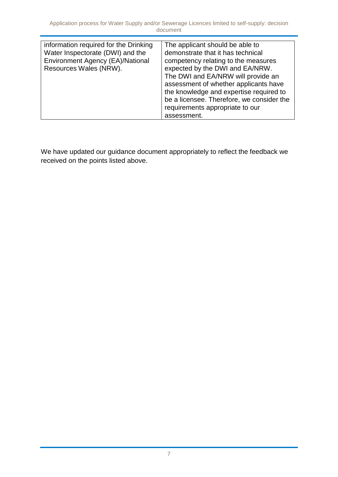We have updated our guidance document appropriately to reflect the feedback we received on the points listed above.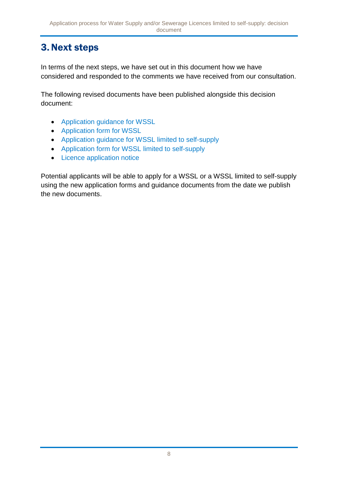## <span id="page-7-0"></span>3.Next steps

In terms of the next steps, we have set out in this document how we have considered and responded to the comments we have received from our consultation.

The following revised documents have been published alongside this decision document:

- [Application guidance for WSSL](https://www.ofwat.gov.uk/publication/application-guidance-water-supply-sewerage-licence-wssl/)
- [Application form for WSSL](https://www.ofwat.gov.uk/publication/water-supply-licence-sewerage-licence-application-form-version-1/)
- [Application guidance for WSSL limited to self-supply](https://www.ofwat.gov.uk/publication/application-guidance-water-supply-sewerage-licence-wssl-limited-self-supply/)
- [Application form for WSSL limited to self-supply](https://www.ofwat.gov.uk/publication/water-supply-licence-sewerage-licence-limited-self-supply-application-form-version-1/)
- [Licence application notice](https://www.ofwat.gov.uk/publication/licence-application-notice/)

Potential applicants will be able to apply for a WSSL or a WSSL limited to self-supply using the new application forms and guidance documents from the date we publish the new documents.